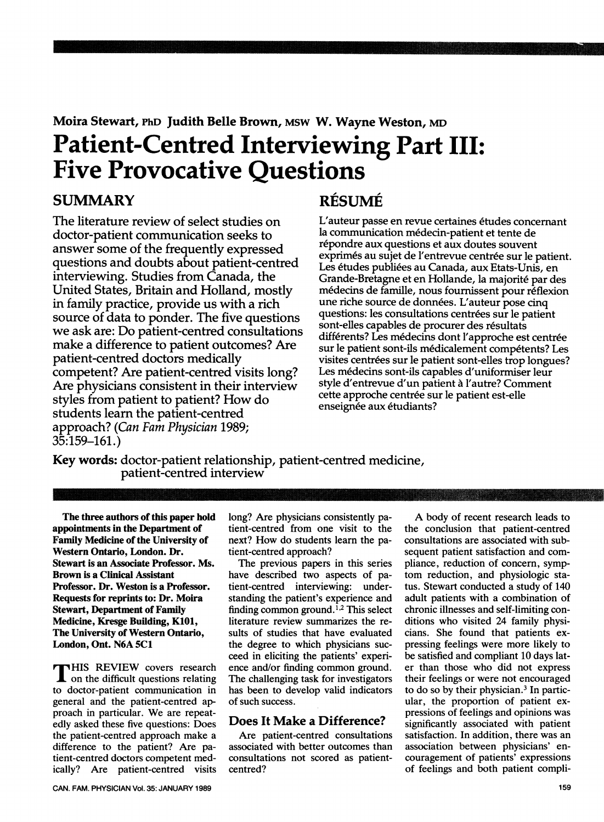# Moira Stewart, PhD Judith Belle Brown, MSW W. Wayne Weston, MD Patient-Centred Interviewing Part III: Five Provocative Questions

### **SUMMARY**

The literature review of select studies on doctor-patient communication seeks to answer some of the frequently expressed questions and doubts about patient-centred interviewing. Studies from Canada, the United States, Britain and Holland, mostly in family practice, provide us with a rich source of data to ponder. The five questions we ask are: Do patient-centred consultations make a difference to patient outcomes? Are patient-centred doctors medically competent? Are patient-centred visits long? Are physicians consistent in their interview styles from patient to patient? How do students learn the patient-centred approach? (Can Fam Physician 1989; 35:159-161.)

# RESUME

L'auteur passe en revue certaines etudes concemant la communication medecin-patient et tente de répondre aux questions et aux doutes souvent exprimés au sujet de l'entrevue centrée sur le patient. Les études publiées au Canada, aux Etats-Unis, en Grande-Bretagne et en Hollande, la majorite par des médecins de famille, nous fournissent pour réflexion une riche source de données. L'auteur pose cinq questions: les consultations centrées sur le patient sont-elles capables de procurer des résultats différents? Les médecins dont l'approche est centrée sur le patient sont-ils médicalement compétents? Les visites centrées sur le patient sont-elles trop longues? Les medecins sont-ils capables d'uniformiser leur style d'entrevue d'un patient a l'autre? Comment cette approche centrée sur le patient est-elle enseignée aux étudiants?

m

Key words: doctor-patient relationship, patient-centred medicine, patient-centred interview

The three authors of this paper hold appointments in the Department of Family Medicine of the University of Western Ontario, London. Dr. Stewart is an Associate Professor. [Ms](https://isanAssociateProfessor.Ms). Brown is a Clinical Assistant Professor. Dr. Weston is a Professor. Requests for reprints to: Dr. Moira Stewart, Department of Family Medicine, Kresge Building, K101, The University of Western Ontario, London, Ont. N6A 5C1

**THIS REVIEW covers research** on the difficult questions relating to doctor-patient communication in general and the patient-centred ap- proach in particular. We are repeat edly asked these five questions: Does the patient-centred approach make a difference to the patient? Are pa tient-centred doctors competent med ically? Are patient-centred visits long? Are physicians consistently pa tient-centred from one visit to the next? How do students learn the pa tient-centred approach?

The previous papers in this series have described two aspects of pa tient-centred interviewing: under standing the patient's experience and finding [common](https://findingcommonground.l2) ground.<sup>1,2</sup> This select literature review summarizes the results of studies that have evaluated the degree to which physicians succeed in eliciting the patients' experi ence and/or finding common ground. The challenging task for investigators has been to develop valid indicators of such success.

#### Does It Make a Difference?

Are patient-centred consultations associated with better outcomes than consultations not scored as patientcentred?

A body of recent research leads to the conclusion that patient-centred consultations are associated with sub sequent patient satisfaction and com pliance, reduction of concern, symp tom reduction, and physiologic sta tus. Stewart conducted a study of 140 adult patients with a combination of chronic illnesses and self-limiting conditions who visited 24 family physi cians. She found that patients expressing feelings were more likely to be satisfied and compliant 10 days lat er than those who did not express their feelings or were not encouraged to do so by their physician.3 In partic ular, the proportion of patient expressions of feelings and opinions was significantly associated with patient satisfaction. In addition, there was an association between physicians' encouragement of patients' expressions of feelings and both patient compli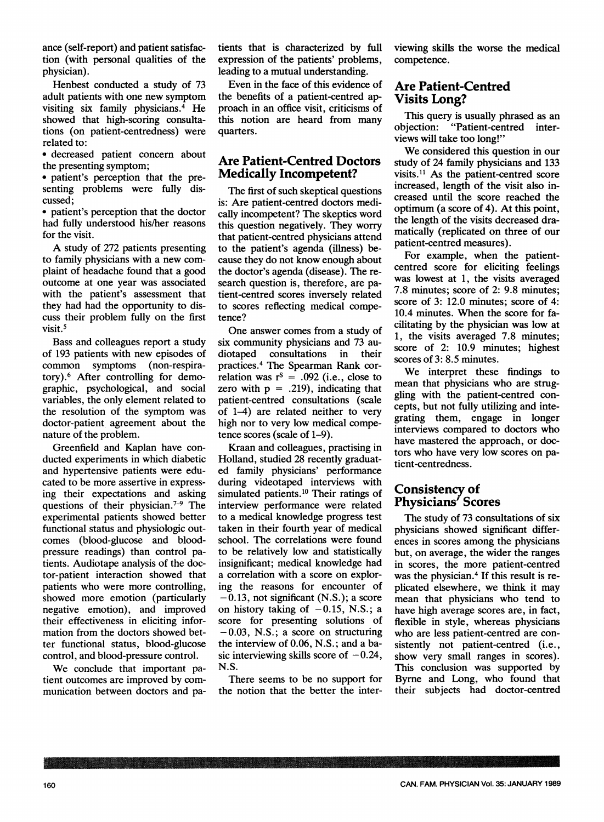ance (self-report) and patient satisfaction (with personal qualities of the physician).

Henbest conducted a study of 73 adult patients with one new symptom visiting six family physicians. $4$  He showed that high-scoring consultations (on patient-centredness) were related to:

\* decreased patient concern about the presenting symptom;

• patient's perception that the presenting problems were fully discussed;

• patient's perception that the doctor had fully understood his/her reasons for the visit.

A study of 272 patients presenting to family physicians with a new complaint of headache found that a good outcome at one year was associated with the patient's assessment that they had had the opportunity to discuss their problem fully on the first visit.<sup>5</sup>

Bass and colleagues report a study of 193 patients with new episodes of common symptoms (non-respiratory).6 After controlling for demographic, psychological, and social variables, the only element related to the resolution of the symptom was doctor-patient agreement about the nature of the problem.

Greenfield and Kaplan have conducted experiments in which diabetic and hypertensive patients were educated to be more assertive in expressing their expectations and asking questions of their physician.<sup> $7-9$ </sup> The experimental patients showed better functional status and physiologic outcomes (blood-glucose and bloodpressure readings) than control patients. Audiotape analysis of the doctor-patient interaction showed that patients who were more controlling, showed more emotion (particularly negative emotion), and improved their effectiveness in eliciting information from the doctors showed better functional status, blood-glucose control, and blood-pressure control.

We conclude that important patient outcomes are improved by communication between doctors and patients that is characterized by full expression of the patients' problems, leading to a mutual understanding.

Even in the face of this evidence of the benefits of a patient-centred ap proach in an office visit, criticisms of this notion are heard from many quarters.

#### Are Patient-Centred Doctors Medically Incompetent?

The first of such skeptical questions is: Are patient-centred doctors medi cally incompetent? The skeptics word this question negatively. They worry that patient-centred physicians attend to the patient's agenda (illness) be cause they do not know enough about the doctor's agenda (disease). The re search question is, therefore, are pa tient-centred scores inversely related to scores reflecting medical compe tence?

One answer comes from a study of six community physicians and 73 au diotaped consultations in their practices.4 The Spearman Rank cor relation was  $r^s = .092$  (i.e., close to zero with  $p = .219$ , indicating that patient-centred consultations (scale of 1-4) are related neither to very high nor to very low medical compe tence scores (scale of 1-9).

Kraan and colleagues, practising in Holland, studied 28 recently graduat ed family physicians' performance during videotaped interviews with simulated [patients.10](https://patients.10) Their ratings of interview performance were related to a medical knowledge progress test taken in their fourth year of medical school. The correlations were found to be relatively low and statistically insignificant; medical knowledge had a correlation with a score on explor ing the reasons for encounter of  $-0.13$ , not significant (N.S.); a score on history taking of  $-0.15$ , N.S.; a score for presenting solutions of  $-0.03$ , N.S.; a score on structuring the interview of 0.06, N.S.; and a ba sic interviewing skills score of  $-0.24$ , N.S.

There seems to be no support for the notion that the better the inter-

IN milmooll, lopoll <sup>1111111</sup>

viewing skills the worse the medical competence.

#### Are Patient-Centred Visits Long?

This query is usually phrased as an objection: "Patient-centred inter views will take too long!"

We considered this question in our study of 24 family physicians and 133 visits.<sup>11</sup> As the patient-centred score increased, length of the visit also in creased until the score reached the optimum (a score of 4). At this point, the length of the visits decreased dra matically (replicated on three of our patient-centred measures).

For example, when the patient centred score for eliciting feelings was lowest at 1, the visits averaged 7.8 minutes; score of 2: 9.8 minutes; score of 3: 12.0 minutes; score of 4: 10.4 minutes. When the score for fa cilitating by the physician was low at 1, the visits averaged 7.8 minutes; score of 2: 10.9 minutes; highest scores of 3: 8.5 minutes.

We interpret these findings to mean that physicians who are strug gling with the patient-centred con cepts, but not fully utilizing and inte grating them, engage in longer interviews compared to doctors who have mastered the approach, or doc tors who have very low scores on pa tient-centredness.

#### Consistency of Physicians' Scores

The study of 73 consultations of six physicians showed significant differ ences in scores among the physicians but, on average, the wider the ranges in scores, the more patient-centred was the physician.<sup>4</sup> If this result is replicated elsewhere, we think it may mean that physicians who tend to have high average scores are, in fact, flexible in style, whereas physicians who are less patient-centred are consistently not patient-centred (i.e., show very small ranges in scores). This conclusion was supported by Byrne and Long, who found that their subjects had doctor-centred